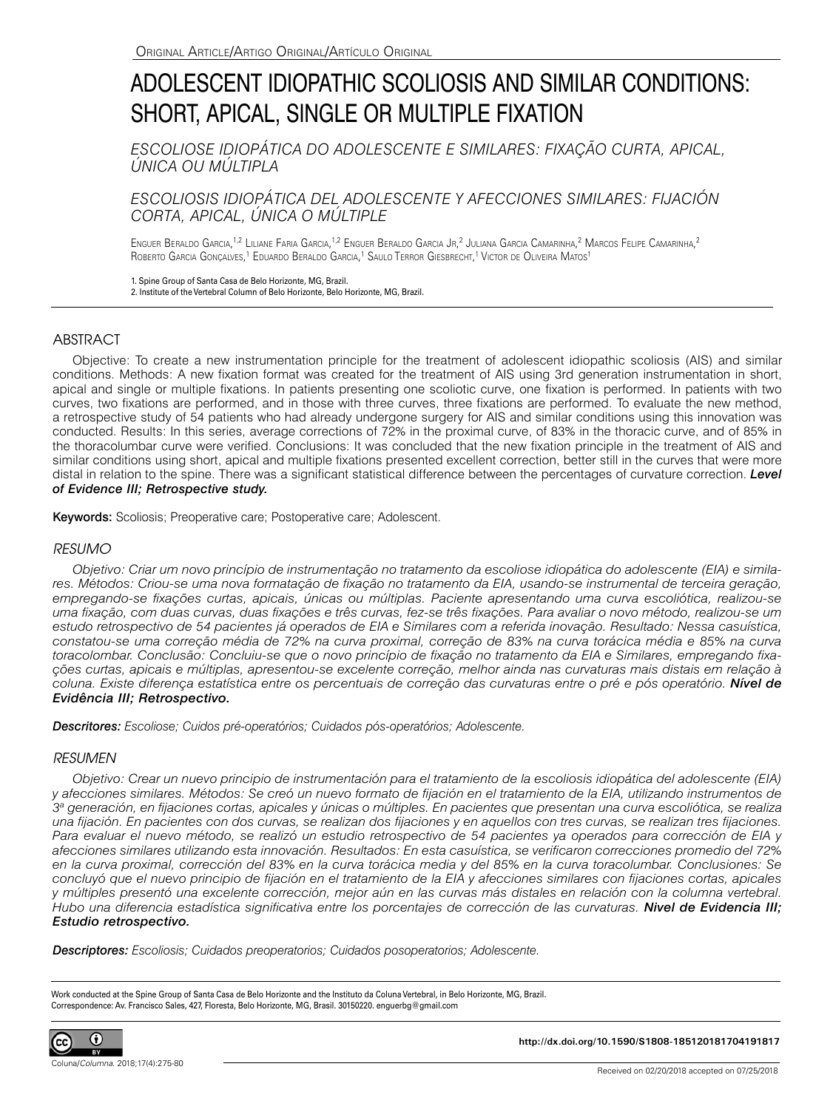# ADOLESCENT IDIOPATHIC SCOLIOSIS AND SIMILAR CONDITIONS: SHORT, APICAL, SINGLE OR MULTIPLE FIXATION

*ESCOLIOSE IDIOPÁTICA DO ADOLESCENTE E SIMILARES: FIXAÇÃO CURTA, APICAL, ÚNICA OU MÚLTIPLA*

# *ESCOLIOSIS IDIOPÁTICA DEL ADOLESCENTE Y AFECCIONES SIMILARES: FIJACIÓN CORTA, APICAL, ÚNICA O MÚLTIPLE*

Enguer Beraldo Garcia,<sup>1,2</sup> Liliane Faria Garcia,<sup>1,2</sup> Enguer Beraldo Garcia Jr,<sup>2</sup> Juliana Garcia Camarinha,<sup>2</sup> Marcos Felipe Camarinha,<sup>2</sup> ROBERTO GARCIA GONÇALVES,<sup>1</sup> EDUARDO BERALDO GARCIA,<sup>1</sup> SAULO TERROR GIESBRECHT,<sup>1</sup> VICTOR DE OLIVEIRA MATOS<sup>1</sup>

1. Spine Group of Santa Casa de Belo Horizonte, MG, Brazil.

2. Institute of the Vertebral Column of Belo Horizonte, Belo Horizonte, MG, Brazil.

## ABSTRACT

Objective: To create a new instrumentation principle for the treatment of adolescent idiopathic scoliosis (AIS) and similar conditions. Methods: A new fixation format was created for the treatment of AIS using 3rd generation instrumentation in short, apical and single or multiple fixations. In patients presenting one scoliotic curve, one fixation is performed. In patients with two curves, two fixations are performed, and in those with three curves, three fixations are performed. To evaluate the new method, a retrospective study of 54 patients who had already undergone surgery for AIS and similar conditions using this innovation was conducted. Results: In this series, average corrections of 72% in the proximal curve, of 83% in the thoracic curve, and of 85% in the thoracolumbar curve were verified. Conclusions: It was concluded that the new fixation principle in the treatment of AIS and similar conditions using short, apical and multiple fixations presented excellent correction, better still in the curves that were more distal in relation to the spine. There was a significant statistical difference between the percentages of curvature correction. *Level of Evidence III; Retrospective study.*

Keywords: Scoliosis; Preoperative care; Postoperative care; Adolescent.

### *RESUMO*

*Objetivo: Criar um novo princípio de instrumentação no tratamento da escoliose idiopática do adolescente (EIA) e similares. Métodos: Criou-se uma nova formatação de fixação no tratamento da EIA, usando-se instrumental de terceira geração, empregando-se fixações curtas, apicais, únicas ou múltiplas. Paciente apresentando uma curva escoliótica, realizou-se uma fixação, com duas curvas, duas fixações e três curvas, fez-se três fixações. Para avaliar o novo método, realizou-se um estudo retrospectivo de 54 pacientes já operados de EIA e Similares com a referida inovação. Resultado: Nessa casuística, constatou-se uma correção média de 72% na curva proximal, correção de 83% na curva torácica média e 85% na curva toracolombar. Conclusão: Concluiu-se que o novo princípio de fixação no tratamento da EIA e Similares, empregando fixações curtas, apicais e múltiplas, apresentou-se excelente correção, melhor ainda nas curvaturas mais distais em relação à coluna. Existe diferença estatística entre os percentuais de correção das curvaturas entre o pré e pós operatório. Nível de Evidência III; Retrospectivo.*

*Descritores: Escoliose; Cuidos pré-operatórios; Cuidados pós-operatórios; Adolescente.*

#### *RESUMEN*

*Objetivo: Crear un nuevo principio de instrumentación para el tratamiento de la escoliosis idiopática del adolescente (EIA) y afecciones similares. Métodos: Se creó un nuevo formato de fijación en el tratamiento de la EIA, utilizando instrumentos de 3a generación, en fijaciones cortas, apicales y únicas o múltiples. En pacientes que presentan una curva escoliótica, se realiza una fijación. En pacientes con dos curvas, se realizan dos fijaciones y en aquellos con tres curvas, se realizan tres fijaciones. Para evaluar el nuevo método, se realizó un estudio retrospectivo de 54 pacientes ya operados para corrección de EIA y afecciones similares utilizando esta innovación. Resultados: En esta casuística, se verificaron correcciones promedio del 72% en la curva proximal, corrección del 83% en la curva torácica media y del 85% en la curva toracolumbar. Conclusiones: Se concluyó que el nuevo principio de fijación en el tratamiento de la EIA y afecciones similares con fijaciones cortas, apicales y múltiples presentó una excelente corrección, mejor aún en las curvas más distales en relación con la columna vertebral. Hubo una diferencia estadística significativa entre los porcentajes de corrección de las curvaturas. Nivel de Evidencia III; Estudio retrospectivo.*

*Descriptores: Escoliosis; Cuidados preoperatorios; Cuidados posoperatorios; Adolescente.*

Work conducted at the Spine Group of Santa Casa de Belo Horizonte and the Instituto da Coluna Vertebral, in Belo Horizonte, MG, Brazil. Correspondence: Av. Francisco Sales, 427, Floresta, Belo Horizonte, MG, Brasil. 30150220. enguerbg@gmail.com



Coluna/*Columna*. 2018;17(4):275-80

**http://dx.doi.org/10.1590/S1808-185120181704191817**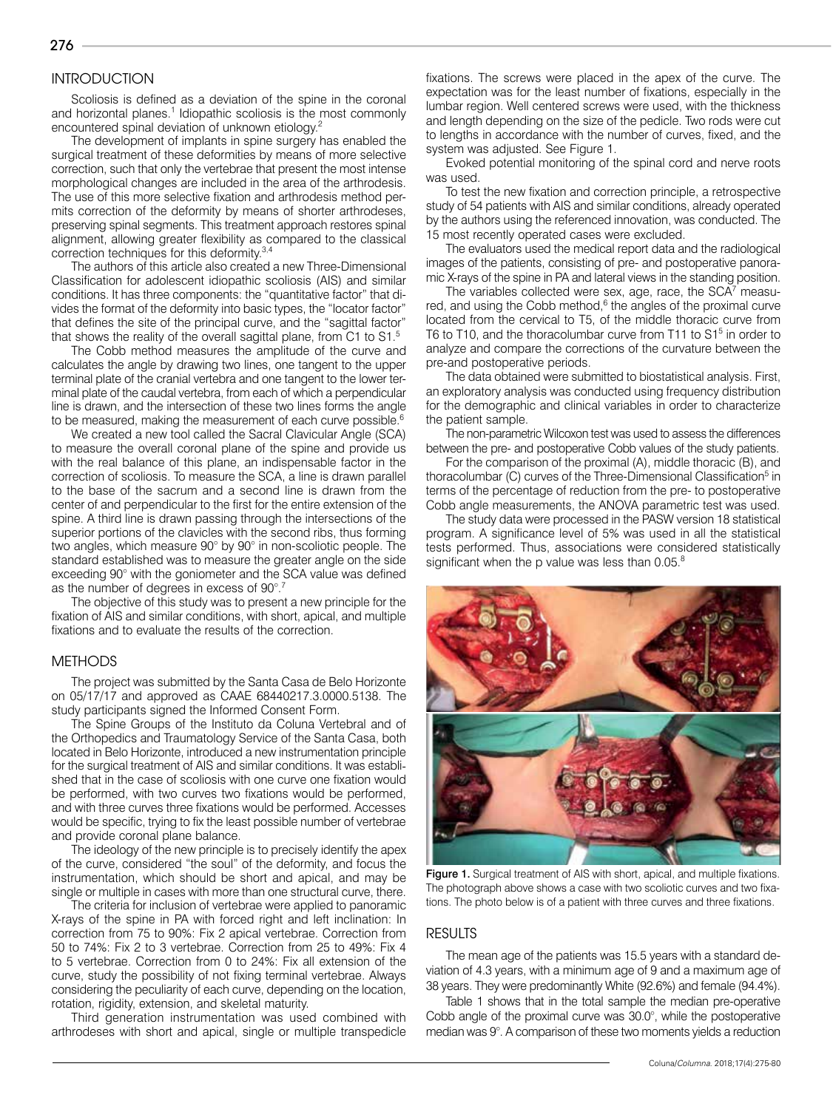# **INTRODUCTION**

Scoliosis is defined as a deviation of the spine in the coronal and horizontal planes.<sup>1</sup> Idiopathic scoliosis is the most commonly encountered spinal deviation of unknown etiology.2

The development of implants in spine surgery has enabled the surgical treatment of these deformities by means of more selective correction, such that only the vertebrae that present the most intense morphological changes are included in the area of the arthrodesis. The use of this more selective fixation and arthrodesis method permits correction of the deformity by means of shorter arthrodeses, preserving spinal segments. This treatment approach restores spinal alignment, allowing greater flexibility as compared to the classical correction techniques for this deformity.3,4

The authors of this article also created a new Three-Dimensional Classification for adolescent idiopathic scoliosis (AIS) and similar conditions. It has three components: the "quantitative factor" that divides the format of the deformity into basic types, the "locator factor" that defines the site of the principal curve, and the "sagittal factor" that shows the reality of the overall sagittal plane, from C1 to S1.<sup>5</sup>

The Cobb method measures the amplitude of the curve and calculates the angle by drawing two lines, one tangent to the upper terminal plate of the cranial vertebra and one tangent to the lower terminal plate of the caudal vertebra, from each of which a perpendicular line is drawn, and the intersection of these two lines forms the angle to be measured, making the measurement of each curve possible.<sup>6</sup>

We created a new tool called the Sacral Clavicular Angle (SCA) to measure the overall coronal plane of the spine and provide us with the real balance of this plane, an indispensable factor in the correction of scoliosis. To measure the SCA, a line is drawn parallel to the base of the sacrum and a second line is drawn from the center of and perpendicular to the first for the entire extension of the spine. A third line is drawn passing through the intersections of the superior portions of the clavicles with the second ribs, thus forming two angles, which measure 90° by 90° in non-scoliotic people. The standard established was to measure the greater angle on the side exceeding 90° with the goniometer and the SCA value was defined as the number of degrees in excess of 90°.7

The objective of this study was to present a new principle for the fixation of AIS and similar conditions, with short, apical, and multiple fixations and to evaluate the results of the correction.

#### **METHODS**

The project was submitted by the Santa Casa de Belo Horizonte on 05/17/17 and approved as CAAE 68440217.3.0000.5138. The study participants signed the Informed Consent Form.

The Spine Groups of the Instituto da Coluna Vertebral and of the Orthopedics and Traumatology Service of the Santa Casa, both located in Belo Horizonte, introduced a new instrumentation principle for the surgical treatment of AIS and similar conditions. It was established that in the case of scoliosis with one curve one fixation would be performed, with two curves two fixations would be performed, and with three curves three fixations would be performed. Accesses would be specific, trying to fix the least possible number of vertebrae and provide coronal plane balance.

The ideology of the new principle is to precisely identify the apex of the curve, considered "the soul" of the deformity, and focus the instrumentation, which should be short and apical, and may be single or multiple in cases with more than one structural curve, there.

The criteria for inclusion of vertebrae were applied to panoramic X-rays of the spine in PA with forced right and left inclination: In correction from 75 to 90%: Fix 2 apical vertebrae. Correction from 50 to 74%: Fix 2 to 3 vertebrae. Correction from 25 to 49%: Fix 4 to 5 vertebrae. Correction from 0 to 24%: Fix all extension of the curve, study the possibility of not fixing terminal vertebrae. Always considering the peculiarity of each curve, depending on the location, rotation, rigidity, extension, and skeletal maturity.

Third generation instrumentation was used combined with arthrodeses with short and apical, single or multiple transpedicle

fixations. The screws were placed in the apex of the curve. The expectation was for the least number of fixations, especially in the lumbar region. Well centered screws were used, with the thickness and length depending on the size of the pedicle. Two rods were cut to lengths in accordance with the number of curves, fixed, and the system was adjusted. See Figure 1.

Evoked potential monitoring of the spinal cord and nerve roots was used.

To test the new fixation and correction principle, a retrospective study of 54 patients with AIS and similar conditions, already operated by the authors using the referenced innovation, was conducted. The 15 most recently operated cases were excluded.

The evaluators used the medical report data and the radiological images of the patients, consisting of pre- and postoperative panoramic X-rays of the spine in PA and lateral views in the standing position.

The variables collected were sex, age, race, the  $SCA<sup>7</sup>$  measured, and using the Cobb method,<sup>6</sup> the angles of the proximal curve located from the cervical to T5, of the middle thoracic curve from T6 to T10, and the thoracolumbar curve from T11 to S1<sup>5</sup> in order to analyze and compare the corrections of the curvature between the pre-and postoperative periods.

The data obtained were submitted to biostatistical analysis. First, an exploratory analysis was conducted using frequency distribution for the demographic and clinical variables in order to characterize the patient sample.

The non-parametric Wilcoxon test was used to assess the differences between the pre- and postoperative Cobb values of the study patients.

For the comparison of the proximal (A), middle thoracic (B), and thoracolumbar (C) curves of the Three-Dimensional Classification<sup>5</sup> in terms of the percentage of reduction from the pre- to postoperative Cobb angle measurements, the ANOVA parametric test was used.

The study data were processed in the PASW version 18 statistical program. A significance level of 5% was used in all the statistical tests performed. Thus, associations were considered statistically significant when the p value was less than 0.05.<sup>8</sup>



Figure 1. Surgical treatment of AIS with short, apical, and multiple fixations. The photograph above shows a case with two scoliotic curves and two fixations. The photo below is of a patient with three curves and three fixations.

#### RESULTS

The mean age of the patients was 15.5 years with a standard deviation of 4.3 years, with a minimum age of 9 and a maximum age of 38 years. They were predominantly White (92.6%) and female (94.4%).

Table 1 shows that in the total sample the median pre-operative Cobb angle of the proximal curve was 30.0°, while the postoperative median was 9°. A comparison of these two moments yields a reduction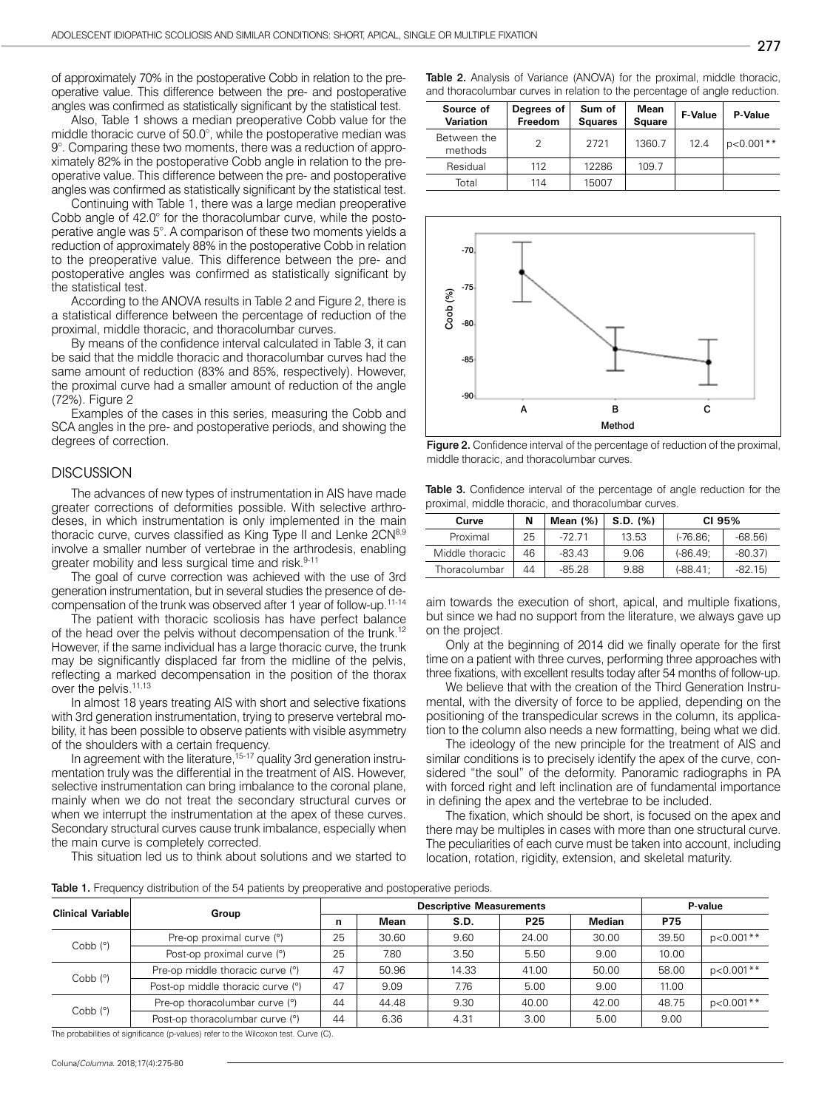of approximately 70% in the postoperative Cobb in relation to the preoperative value. This difference between the pre- and postoperative angles was confirmed as statistically significant by the statistical test.

Also, Table 1 shows a median preoperative Cobb value for the middle thoracic curve of 50.0°, while the postoperative median was 9°. Comparing these two moments, there was a reduction of approximately 82% in the postoperative Cobb angle in relation to the preoperative value. This difference between the pre- and postoperative angles was confirmed as statistically significant by the statistical test.

Continuing with Table 1, there was a large median preoperative Cobb angle of 42.0° for the thoracolumbar curve, while the postoperative angle was 5°. A comparison of these two moments yields a reduction of approximately 88% in the postoperative Cobb in relation to the preoperative value. This difference between the pre- and postoperative angles was confirmed as statistically significant by the statistical test.

According to the ANOVA results in Table 2 and Figure 2, there is a statistical difference between the percentage of reduction of the proximal, middle thoracic, and thoracolumbar curves.

By means of the confidence interval calculated in Table 3, it can be said that the middle thoracic and thoracolumbar curves had the same amount of reduction (83% and 85%, respectively). However, the proximal curve had a smaller amount of reduction of the angle (72%). Figure 2

Examples of the cases in this series, measuring the Cobb and SCA angles in the pre- and postoperative periods, and showing the degrees of correction.

#### **DISCUSSION**

The advances of new types of instrumentation in AIS have made greater corrections of deformities possible. With selective arthrodeses, in which instrumentation is only implemented in the main thoracic curve, curves classified as King Type II and Lenke 2CN<sup>8,9</sup> involve a smaller number of vertebrae in the arthrodesis, enabling greater mobility and less surgical time and risk.<sup>9-11</sup>

The goal of curve correction was achieved with the use of 3rd generation instrumentation, but in several studies the presence of decompensation of the trunk was observed after 1 year of follow-up.11-14

The patient with thoracic scoliosis has have perfect balance of the head over the pelvis without decompensation of the trunk.<sup>12</sup> However, if the same individual has a large thoracic curve, the trunk may be significantly displaced far from the midline of the pelvis, reflecting a marked decompensation in the position of the thorax over the pelvis.<sup>11,13</sup>

In almost 18 years treating AIS with short and selective fixations with 3rd generation instrumentation, trying to preserve vertebral mobility, it has been possible to observe patients with visible asymmetry of the shoulders with a certain frequency.

In agreement with the literature,<sup>15-17</sup> quality 3rd generation instrumentation truly was the differential in the treatment of AIS. However, selective instrumentation can bring imbalance to the coronal plane, mainly when we do not treat the secondary structural curves or when we interrupt the instrumentation at the apex of these curves. Secondary structural curves cause trunk imbalance, especially when the main curve is completely corrected.

This situation led us to think about solutions and we started to

Table 2. Analysis of Variance (ANOVA) for the proximal, middle thoracic, and thoracolumbar curves in relation to the percentage of angle reduction.

| Source of<br><b>Variation</b> | Degrees of<br>Freedom | Sum of<br><b>Squares</b> | Mean<br><b>Square</b> | <b>F-Value</b> | P-Value     |
|-------------------------------|-----------------------|--------------------------|-----------------------|----------------|-------------|
| Between the<br>methods        | 2                     | 2721                     | 1360.7                | 12.4           | $p<0.001**$ |
| Residual                      | 112                   | 12286                    | 109.7                 |                |             |
| Total                         | 114                   | 15007                    |                       |                |             |



Figure 2. Confidence interval of the percentage of reduction of the proximal, middle thoracic, and thoracolumbar curves.

| <b>Table 3.</b> Confidence interval of the percentage of angle reduction for the |  |  |  |  |
|----------------------------------------------------------------------------------|--|--|--|--|
| proximal, middle thoracic, and thoracolumbar curves.                             |  |  |  |  |

| Curve           | N  | Mean $(%)$ | S.D. (%) | CI 95%     |          |
|-----------------|----|------------|----------|------------|----------|
| Proximal        | 25 | -72 71     | 13.53    | $(-76.86)$ | $-68.56$ |
| Middle thoracic | 46 | $-83.43$   | 9.06     | $(-86.49)$ | $-80.37$ |
| Thoracolumbar   | 44 | $-85.28$   | 9.88     | $(-88.41)$ | $-82.15$ |

aim towards the execution of short, apical, and multiple fixations, but since we had no support from the literature, we always gave up on the project.

Only at the beginning of 2014 did we finally operate for the first time on a patient with three curves, performing three approaches with three fixations, with excellent results today after 54 months of follow-up.

We believe that with the creation of the Third Generation Instrumental, with the diversity of force to be applied, depending on the positioning of the transpedicular screws in the column, its application to the column also needs a new formatting, being what we did.

The ideology of the new principle for the treatment of AIS and similar conditions is to precisely identify the apex of the curve, considered "the soul" of the deformity. Panoramic radiographs in PA with forced right and left inclination are of fundamental importance in defining the apex and the vertebrae to be included.

The fixation, which should be short, is focused on the apex and there may be multiples in cases with more than one structural curve. The peculiarities of each curve must be taken into account, including location, rotation, rigidity, extension, and skeletal maturity.

Table 1. Frequency distribution of the 54 patients by preoperative and postoperative periods.

| <b>Clinical Variable</b> |                                   |    | <b>Descriptive Measurements</b> |       |       |        |            | P-value     |  |
|--------------------------|-----------------------------------|----|---------------------------------|-------|-------|--------|------------|-------------|--|
|                          | Group                             | n  | Mean                            | S.D.  | P25   | Median | <b>P75</b> |             |  |
| $Cobb$ ( $°)$            | Pre-op proximal curve (°)         | 25 | 30.60                           | 9.60  | 24.00 | 30.00  | 39.50      | $p<0.001**$ |  |
|                          | Post-op proximal curve (°)        | 25 | 7.80                            | 3.50  | 5.50  | 9.00   | 10.00      |             |  |
| $Cobb$ $(°)$             | Pre-op middle thoracic curve (°)  | 47 | 50.96                           | 14.33 | 41.00 | 50.00  | 58.00      | $p<0.001**$ |  |
|                          | Post-op middle thoracic curve (°) | 47 | 9.09                            | 7.76  | 5.00  | 9.00   | 11.00      |             |  |
| $Cobb$ $(°)$             | Pre-op thoracolumbar curve (°)    | 44 | 44.48                           | 9.30  | 40.00 | 42.00  | 48.75      | p<0.001**   |  |
|                          | Post-op thoracolumbar curve (°)   | 44 | 6.36                            | 4.31  | 3.00  | 5.00   | 9.00       |             |  |

The probabilities of significance (p-values) refer to the Wilcoxon test. Curve (C).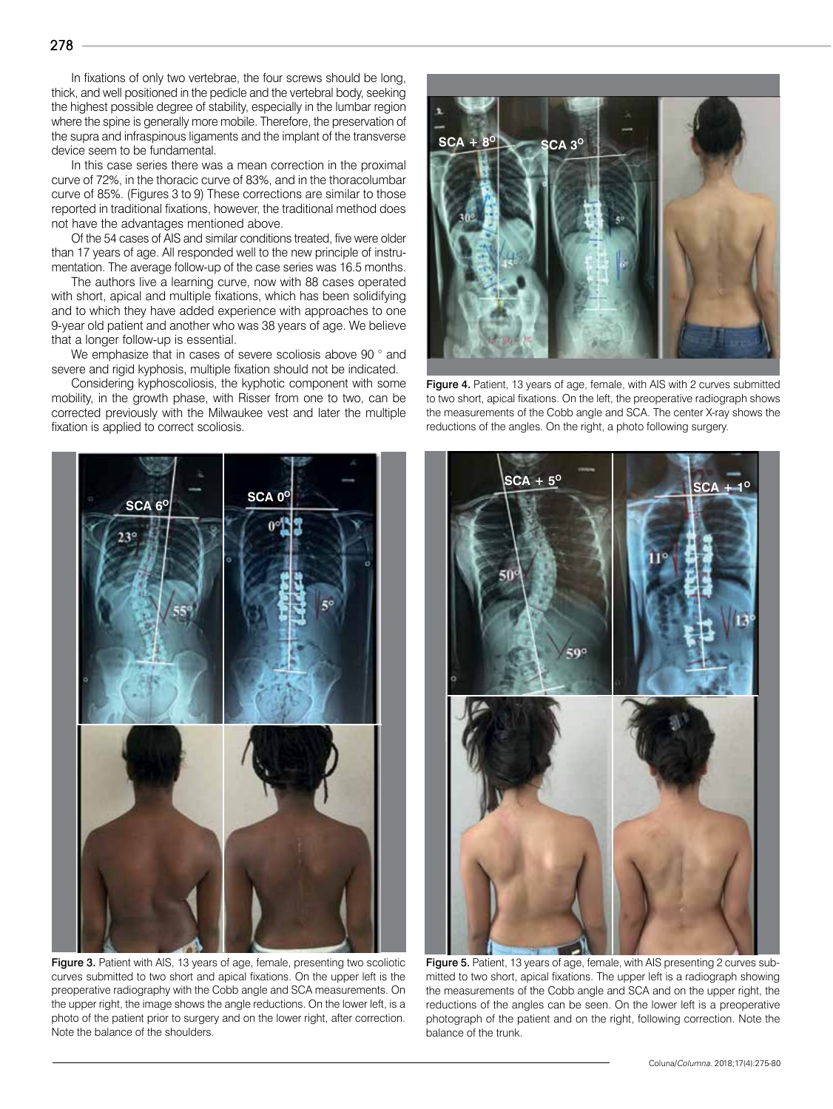In fixations of only two vertebrae, the four screws should be long, thick, and well positioned in the pedicle and the vertebral body, seeking the highest possible degree of stability, especially in the lumbar region where the spine is generally more mobile. Therefore, the preservation of the supra and infraspinous ligaments and the implant of the transverse device seem to be fundamental.

In this case series there was a mean correction in the proximal curve of 72%, in the thoracic curve of 83%, and in the thoracolumbar curve of 85%. (Figures 3 to 9) These corrections are similar to those reported in traditional fixations, however, the traditional method does not have the advantages mentioned above.

Of the 54 cases of AIS and similar conditions treated, five were older than 17 years of age. All responded well to the new principle of instrumentation. The average follow-up of the case series was 16.5 months.

The authors live a learning curve, now with 88 cases operated with short, apical and multiple fixations, which has been solidifying and to which they have added experience with approaches to one 9-year old patient and another who was 38 years of age. We believe that a longer follow-up is essential.

We emphasize that in cases of severe scoliosis above 90 ° and severe and rigid kyphosis, multiple fixation should not be indicated.

Considering kyphoscoliosis, the kyphotic component with some mobility, in the growth phase, with Risser from one to two, can be corrected previously with the Milwaukee vest and later the multiple fixation is applied to correct scoliosis.



Figure 3. Patient with AIS, 13 years of age, female, presenting two scoliotic curves submitted to two short and apical fixations. On the upper left is the preoperative radiography with the Cobb angle and SCA measurements. On the upper right, the image shows the angle reductions. On the lower left, is a photo of the patient prior to surgery and on the lower right, after correction. Note the balance of the shoulders.



Figure 4. Patient, 13 years of age, female, with AIS with 2 curves submitted to two short, apical fixations. On the left, the preoperative radiograph shows the measurements of the Cobb angle and SCA. The center X-ray shows the reductions of the angles. On the right, a photo following surgery.



Figure 5. Patient, 13 years of age, female, with AIS presenting 2 curves submitted to two short, apical fixations. The upper left is a radiograph showing the measurements of the Cobb angle and SCA and on the upper right, the reductions of the angles can be seen. On the lower left is a preoperative photograph of the patient and on the right, following correction. Note the balance of the trunk.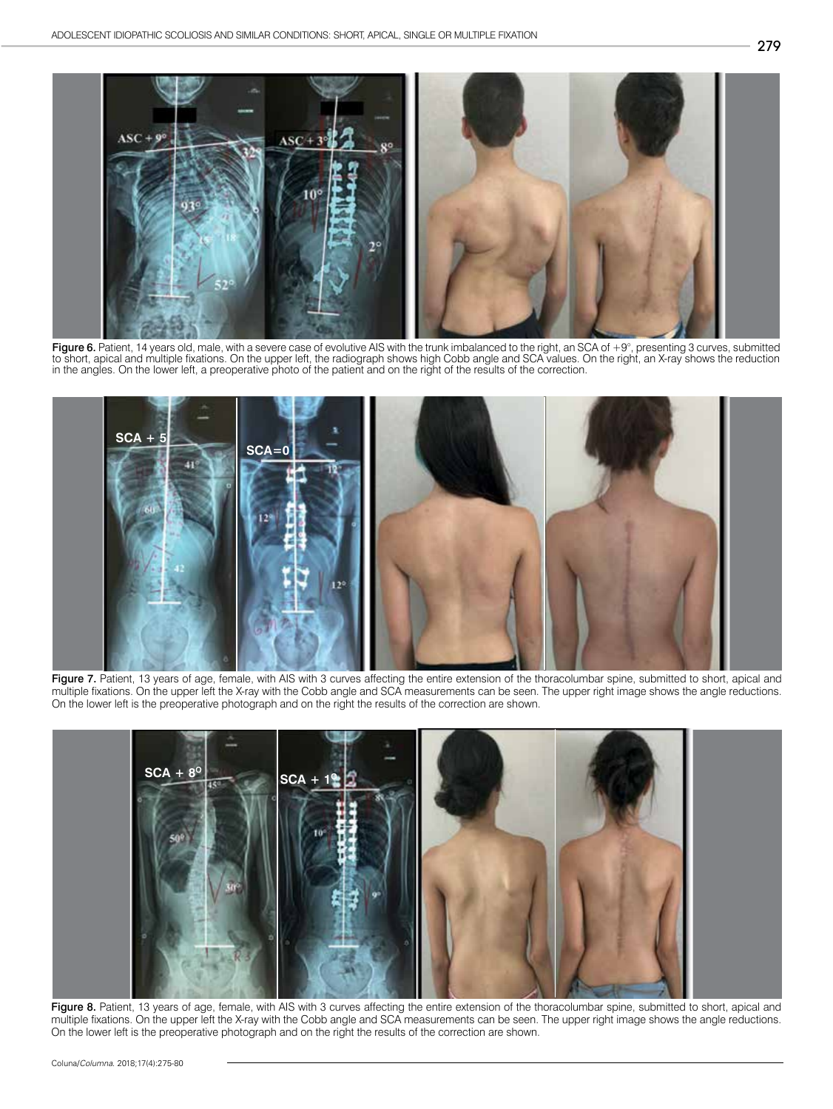

**Figure 6.** Patient, 14 years old, male, with a severe case of evolutive AIS with the trunk imbalanced to the right, an SCA of +9°, presenting 3 curves, submitted<br>to short, apical and multiple fixations. On the upper left, in the angles. On the lower left, a preoperative photo of the patient and on the right of the results of the correction.



Figure 7. Patient, 13 years of age, female, with AIS with 3 curves affecting the entire extension of the thoracolumbar spine, submitted to short, apical and multiple fixations. On the upper left the X-ray with the Cobb angle and SCA measurements can be seen. The upper right image shows the angle reductions. On the lower left is the preoperative photograph and on the right the results of the correction are shown.



Figure 8. Patient, 13 years of age, female, with AIS with 3 curves affecting the entire extension of the thoracolumbar spine, submitted to short, apical and multiple fixations. On the upper left the X-ray with the Cobb angle and SCA measurements can be seen. The upper right image shows the angle reductions. On the lower left is the preoperative photograph and on the right the results of the correction are shown.